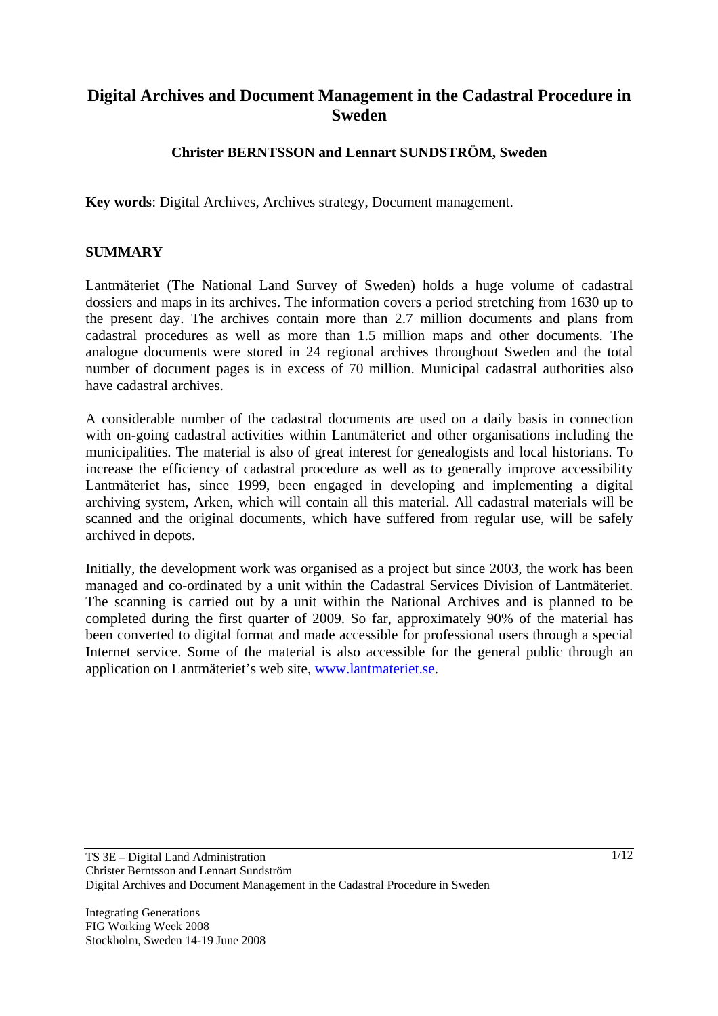# **Digital Archives and Document Management in the Cadastral Procedure in Sweden**

## **Christer BERNTSSON and Lennart SUNDSTRÖM, Sweden**

**Key words**: Digital Archives, Archives strategy, Document management.

#### **SUMMARY**

Lantmäteriet (The National Land Survey of Sweden) holds a huge volume of cadastral dossiers and maps in its archives. The information covers a period stretching from 1630 up to the present day. The archives contain more than 2.7 million documents and plans from cadastral procedures as well as more than 1.5 million maps and other documents. The analogue documents were stored in 24 regional archives throughout Sweden and the total number of document pages is in excess of 70 million. Municipal cadastral authorities also have cadastral archives.

A considerable number of the cadastral documents are used on a daily basis in connection with on-going cadastral activities within Lantmäteriet and other organisations including the municipalities. The material is also of great interest for genealogists and local historians. To increase the efficiency of cadastral procedure as well as to generally improve accessibility Lantmäteriet has, since 1999, been engaged in developing and implementing a digital archiving system, Arken, which will contain all this material. All cadastral materials will be scanned and the original documents, which have suffered from regular use, will be safely archived in depots.

Initially, the development work was organised as a project but since 2003, the work has been managed and co-ordinated by a unit within the Cadastral Services Division of Lantmäteriet. The scanning is carried out by a unit within the National Archives and is planned to be completed during the first quarter of 2009. So far, approximately 90% of the material has been converted to digital format and made accessible for professional users through a special Internet service. Some of the material is also accessible for the general public through an application on Lantmäteriet's web site, www.lantmateriet.se.

Integrating Generations FIG Working Week 2008 Stockholm, Sweden 14-19 June 2008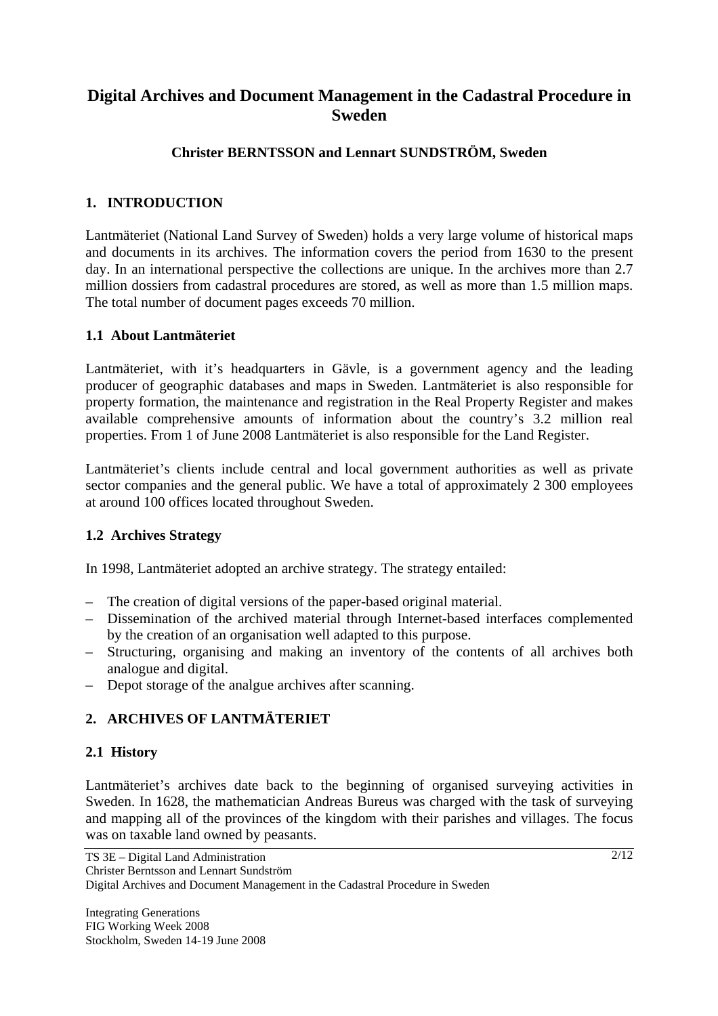# **Digital Archives and Document Management in the Cadastral Procedure in Sweden**

## **Christer BERNTSSON and Lennart SUNDSTRÖM, Sweden**

## **1. INTRODUCTION**

Lantmäteriet (National Land Survey of Sweden) holds a very large volume of historical maps and documents in its archives. The information covers the period from 1630 to the present day. In an international perspective the collections are unique. In the archives more than 2.7 million dossiers from cadastral procedures are stored, as well as more than 1.5 million maps. The total number of document pages exceeds 70 million.

## **1.1 About Lantmäteriet**

Lantmäteriet, with it's headquarters in Gävle, is a government agency and the leading producer of geographic databases and maps in Sweden. Lantmäteriet is also responsible for property formation, the maintenance and registration in the Real Property Register and makes available comprehensive amounts of information about the country's 3.2 million real properties. From 1 of June 2008 Lantmäteriet is also responsible for the Land Register.

Lantmäteriet's clients include central and local government authorities as well as private sector companies and the general public. We have a total of approximately 2 300 employees at around 100 offices located throughout Sweden.

## **1.2 Archives Strategy**

In 1998, Lantmäteriet adopted an archive strategy. The strategy entailed:

- The creation of digital versions of the paper-based original material.
- Dissemination of the archived material through Internet-based interfaces complemented by the creation of an organisation well adapted to this purpose.
- Structuring, organising and making an inventory of the contents of all archives both analogue and digital.
- Depot storage of the analgue archives after scanning.

## **2. ARCHIVES OF LANTMÄTERIET**

## **2.1 History**

Lantmäteriet's archives date back to the beginning of organised surveying activities in Sweden. In 1628, the mathematician Andreas Bureus was charged with the task of surveying and mapping all of the provinces of the kingdom with their parishes and villages. The focus was on taxable land owned by peasants.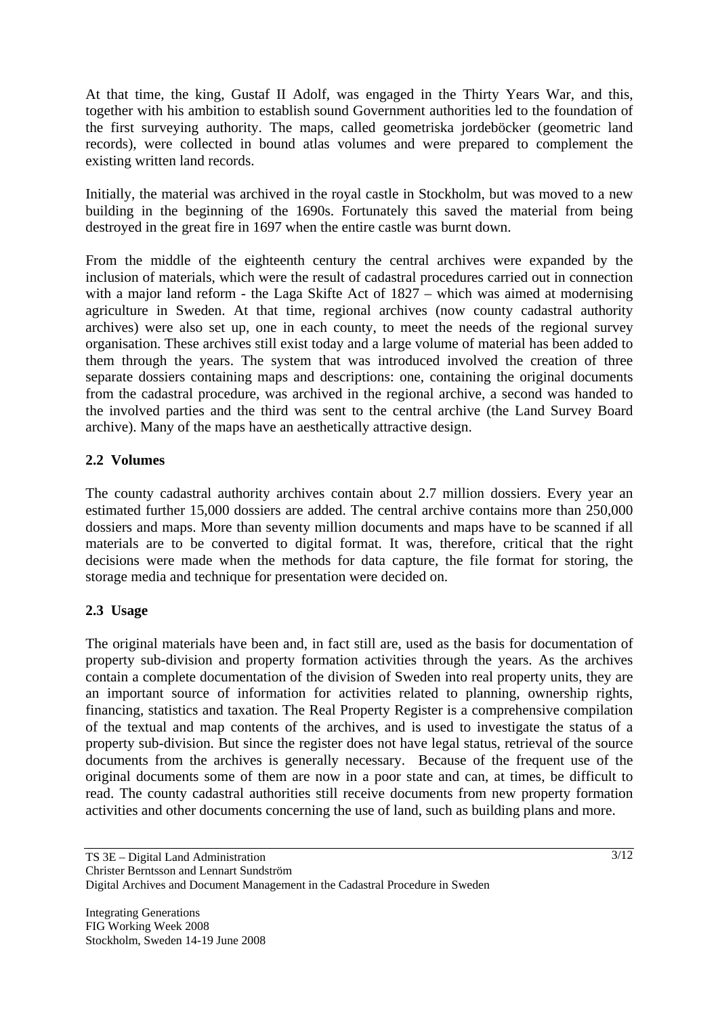At that time, the king, Gustaf II Adolf, was engaged in the Thirty Years War, and this, together with his ambition to establish sound Government authorities led to the foundation of the first surveying authority. The maps, called geometriska jordeböcker (geometric land records), were collected in bound atlas volumes and were prepared to complement the existing written land records.

Initially, the material was archived in the royal castle in Stockholm, but was moved to a new building in the beginning of the 1690s. Fortunately this saved the material from being destroyed in the great fire in 1697 when the entire castle was burnt down.

From the middle of the eighteenth century the central archives were expanded by the inclusion of materials, which were the result of cadastral procedures carried out in connection with a major land reform - the Laga Skifte Act of 1827 – which was aimed at modernising agriculture in Sweden. At that time, regional archives (now county cadastral authority archives) were also set up, one in each county, to meet the needs of the regional survey organisation. These archives still exist today and a large volume of material has been added to them through the years. The system that was introduced involved the creation of three separate dossiers containing maps and descriptions: one, containing the original documents from the cadastral procedure, was archived in the regional archive, a second was handed to the involved parties and the third was sent to the central archive (the Land Survey Board archive). Many of the maps have an aesthetically attractive design.

## **2.2 Volumes**

The county cadastral authority archives contain about 2.7 million dossiers. Every year an estimated further 15,000 dossiers are added. The central archive contains more than 250,000 dossiers and maps. More than seventy million documents and maps have to be scanned if all materials are to be converted to digital format. It was, therefore, critical that the right decisions were made when the methods for data capture, the file format for storing, the storage media and technique for presentation were decided on.

#### **2.3 Usage**

The original materials have been and, in fact still are, used as the basis for documentation of property sub-division and property formation activities through the years. As the archives contain a complete documentation of the division of Sweden into real property units, they are an important source of information for activities related to planning, ownership rights, financing, statistics and taxation. The Real Property Register is a comprehensive compilation of the textual and map contents of the archives, and is used to investigate the status of a property sub-division. But since the register does not have legal status, retrieval of the source documents from the archives is generally necessary. Because of the frequent use of the original documents some of them are now in a poor state and can, at times, be difficult to read. The county cadastral authorities still receive documents from new property formation activities and other documents concerning the use of land, such as building plans and more.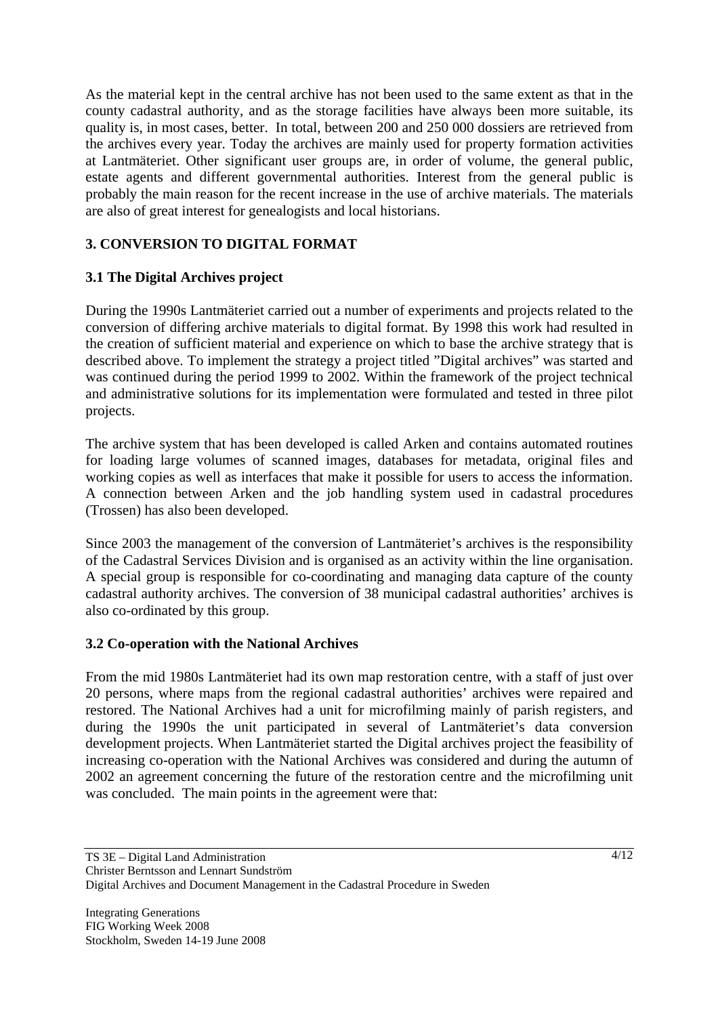As the material kept in the central archive has not been used to the same extent as that in the county cadastral authority, and as the storage facilities have always been more suitable, its quality is, in most cases, better. In total, between 200 and 250 000 dossiers are retrieved from the archives every year. Today the archives are mainly used for property formation activities at Lantmäteriet. Other significant user groups are, in order of volume, the general public, estate agents and different governmental authorities. Interest from the general public is probably the main reason for the recent increase in the use of archive materials. The materials are also of great interest for genealogists and local historians.

## **3. CONVERSION TO DIGITAL FORMAT**

## **3.1 The Digital Archives project**

During the 1990s Lantmäteriet carried out a number of experiments and projects related to the conversion of differing archive materials to digital format. By 1998 this work had resulted in the creation of sufficient material and experience on which to base the archive strategy that is described above. To implement the strategy a project titled "Digital archives" was started and was continued during the period 1999 to 2002. Within the framework of the project technical and administrative solutions for its implementation were formulated and tested in three pilot projects.

The archive system that has been developed is called Arken and contains automated routines for loading large volumes of scanned images, databases for metadata, original files and working copies as well as interfaces that make it possible for users to access the information. A connection between Arken and the job handling system used in cadastral procedures (Trossen) has also been developed.

Since 2003 the management of the conversion of Lantmäteriet's archives is the responsibility of the Cadastral Services Division and is organised as an activity within the line organisation. A special group is responsible for co-coordinating and managing data capture of the county cadastral authority archives. The conversion of 38 municipal cadastral authorities' archives is also co-ordinated by this group.

## **3.2 Co-operation with the National Archives**

From the mid 1980s Lantmäteriet had its own map restoration centre, with a staff of just over 20 persons, where maps from the regional cadastral authorities' archives were repaired and restored. The National Archives had a unit for microfilming mainly of parish registers, and during the 1990s the unit participated in several of Lantmäteriet's data conversion development projects. When Lantmäteriet started the Digital archives project the feasibility of increasing co-operation with the National Archives was considered and during the autumn of 2002 an agreement concerning the future of the restoration centre and the microfilming unit was concluded. The main points in the agreement were that: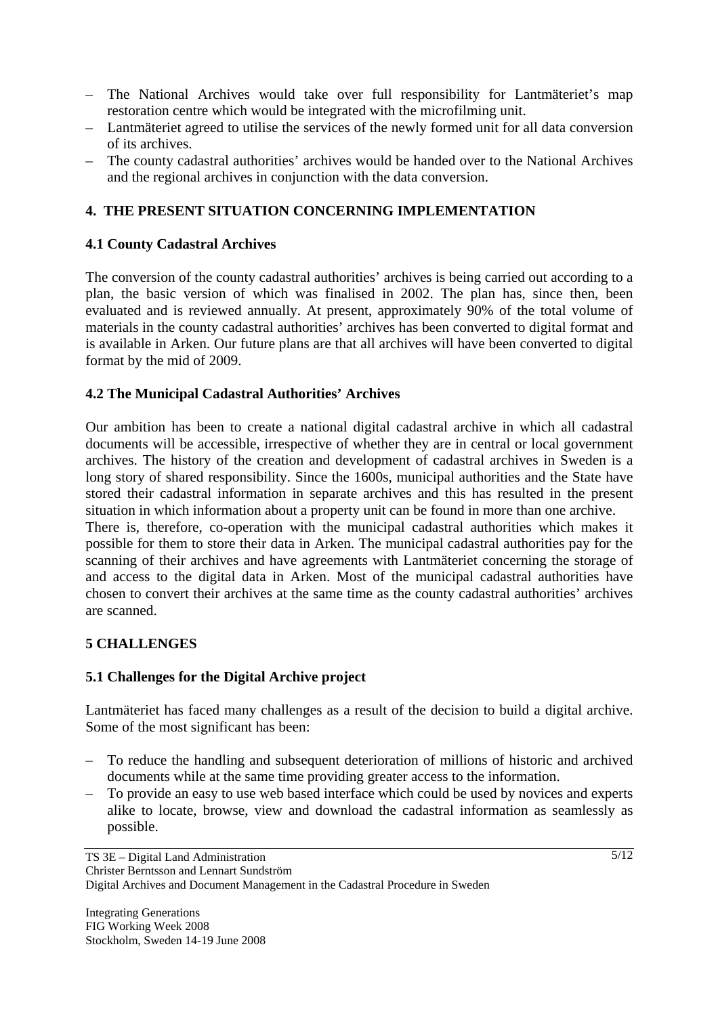- The National Archives would take over full responsibility for Lantmäteriet's map restoration centre which would be integrated with the microfilming unit.
- Lantmäteriet agreed to utilise the services of the newly formed unit for all data conversion of its archives.
- The county cadastral authorities' archives would be handed over to the National Archives and the regional archives in conjunction with the data conversion.

## **4. THE PRESENT SITUATION CONCERNING IMPLEMENTATION**

## **4.1 County Cadastral Archives**

The conversion of the county cadastral authorities' archives is being carried out according to a plan, the basic version of which was finalised in 2002. The plan has, since then, been evaluated and is reviewed annually. At present, approximately 90% of the total volume of materials in the county cadastral authorities' archives has been converted to digital format and is available in Arken. Our future plans are that all archives will have been converted to digital format by the mid of 2009.

## **4.2 The Municipal Cadastral Authorities' Archives**

Our ambition has been to create a national digital cadastral archive in which all cadastral documents will be accessible, irrespective of whether they are in central or local government archives. The history of the creation and development of cadastral archives in Sweden is a long story of shared responsibility. Since the 1600s, municipal authorities and the State have stored their cadastral information in separate archives and this has resulted in the present situation in which information about a property unit can be found in more than one archive.

There is, therefore, co-operation with the municipal cadastral authorities which makes it possible for them to store their data in Arken. The municipal cadastral authorities pay for the scanning of their archives and have agreements with Lantmäteriet concerning the storage of and access to the digital data in Arken. Most of the municipal cadastral authorities have chosen to convert their archives at the same time as the county cadastral authorities' archives are scanned.

## **5 CHALLENGES**

## **5.1 Challenges for the Digital Archive project**

Lantmäteriet has faced many challenges as a result of the decision to build a digital archive. Some of the most significant has been:

- To reduce the handling and subsequent deterioration of millions of historic and archived documents while at the same time providing greater access to the information.
- To provide an easy to use web based interface which could be used by novices and experts alike to locate, browse, view and download the cadastral information as seamlessly as possible.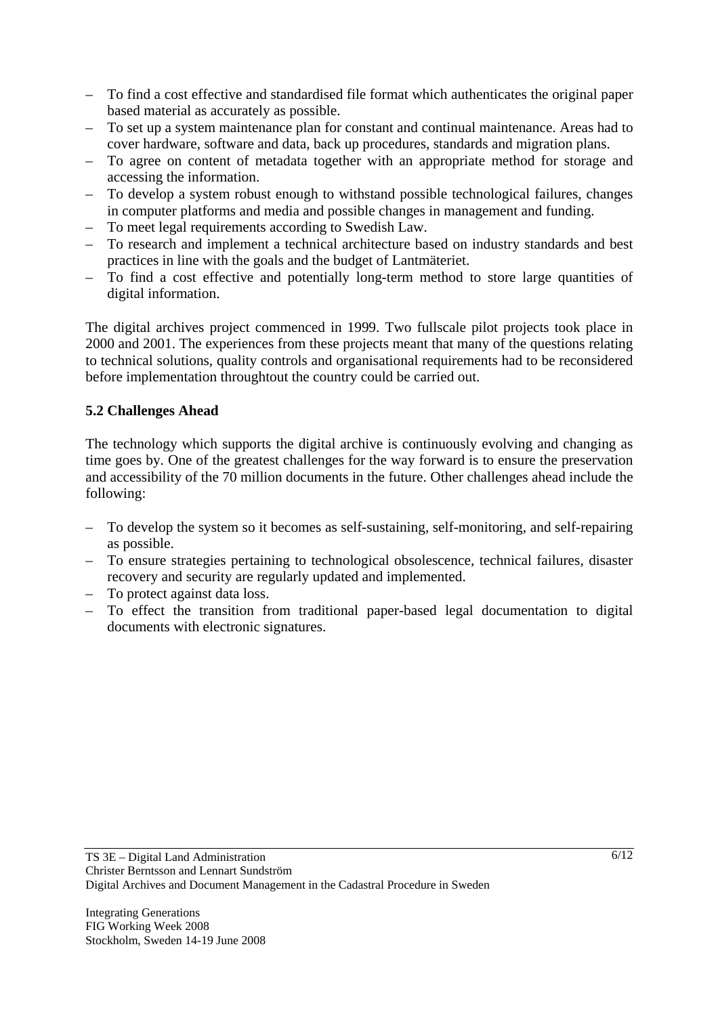- To find a cost effective and standardised file format which authenticates the original paper based material as accurately as possible.
- To set up a system maintenance plan for constant and continual maintenance. Areas had to cover hardware, software and data, back up procedures, standards and migration plans.
- To agree on content of metadata together with an appropriate method for storage and accessing the information.
- To develop a system robust enough to withstand possible technological failures, changes in computer platforms and media and possible changes in management and funding.
- To meet legal requirements according to Swedish Law.
- To research and implement a technical architecture based on industry standards and best practices in line with the goals and the budget of Lantmäteriet.
- To find a cost effective and potentially long-term method to store large quantities of digital information.

The digital archives project commenced in 1999. Two fullscale pilot projects took place in 2000 and 2001. The experiences from these projects meant that many of the questions relating to technical solutions, quality controls and organisational requirements had to be reconsidered before implementation throughtout the country could be carried out.

## **5.2 Challenges Ahead**

The technology which supports the digital archive is continuously evolving and changing as time goes by. One of the greatest challenges for the way forward is to ensure the preservation and accessibility of the 70 million documents in the future. Other challenges ahead include the following:

- To develop the system so it becomes as self-sustaining, self-monitoring, and self-repairing as possible.
- To ensure strategies pertaining to technological obsolescence, technical failures, disaster recovery and security are regularly updated and implemented.
- To protect against data loss.
- To effect the transition from traditional paper-based legal documentation to digital documents with electronic signatures.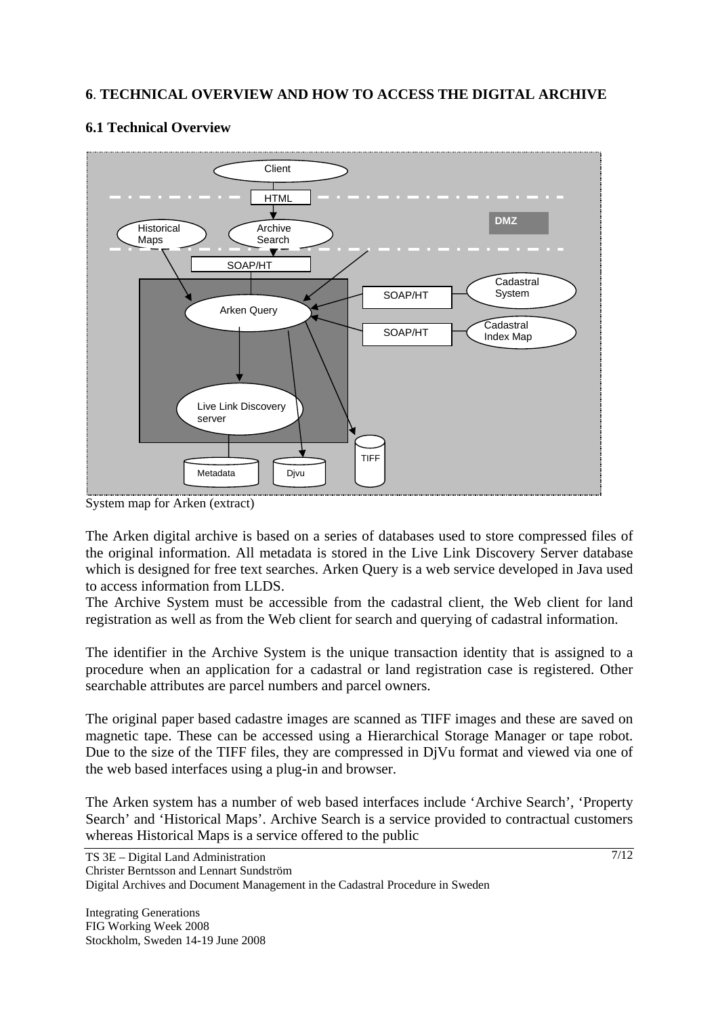## **6**. **TECHNICAL OVERVIEW AND HOW TO ACCESS THE DIGITAL ARCHIVE**

## **6.1 Technical Overview**



System map for Arken (extract)

The Arken digital archive is based on a series of databases used to store compressed files of the original information. All metadata is stored in the Live Link Discovery Server database which is designed for free text searches. Arken Query is a web service developed in Java used to access information from LLDS.

The Archive System must be accessible from the cadastral client, the Web client for land registration as well as from the Web client for search and querying of cadastral information.

The identifier in the Archive System is the unique transaction identity that is assigned to a procedure when an application for a cadastral or land registration case is registered. Other searchable attributes are parcel numbers and parcel owners.

The original paper based cadastre images are scanned as TIFF images and these are saved on magnetic tape. These can be accessed using a Hierarchical Storage Manager or tape robot. Due to the size of the TIFF files, they are compressed in DjVu format and viewed via one of the web based interfaces using a plug-in and browser.

The Arken system has a number of web based interfaces include 'Archive Search', 'Property Search' and 'Historical Maps'. Archive Search is a service provided to contractual customers whereas Historical Maps is a service offered to the public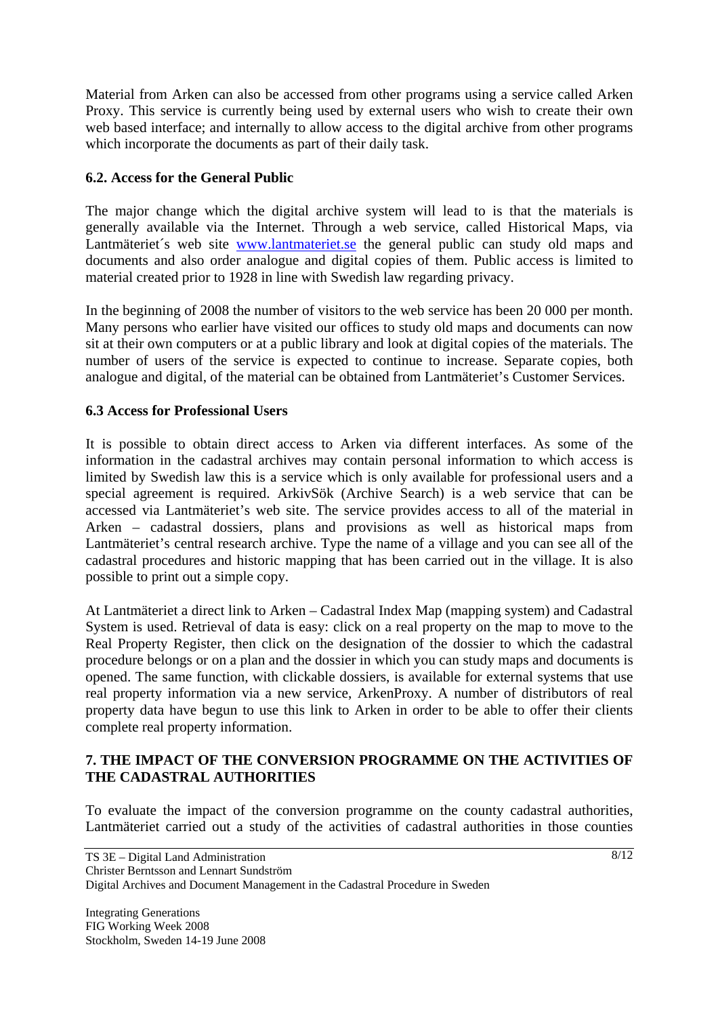Material from Arken can also be accessed from other programs using a service called Arken Proxy. This service is currently being used by external users who wish to create their own web based interface; and internally to allow access to the digital archive from other programs which incorporate the documents as part of their daily task.

## **6.2. Access for the General Public**

The major change which the digital archive system will lead to is that the materials is generally available via the Internet. Through a web service, called Historical Maps, via Lantmäteriet's web site www.lantmateriet.se the general public can study old maps and documents and also order analogue and digital copies of them. Public access is limited to material created prior to 1928 in line with Swedish law regarding privacy.

In the beginning of 2008 the number of visitors to the web service has been 20 000 per month. Many persons who earlier have visited our offices to study old maps and documents can now sit at their own computers or at a public library and look at digital copies of the materials. The number of users of the service is expected to continue to increase. Separate copies, both analogue and digital, of the material can be obtained from Lantmäteriet's Customer Services.

## **6.3 Access for Professional Users**

It is possible to obtain direct access to Arken via different interfaces. As some of the information in the cadastral archives may contain personal information to which access is limited by Swedish law this is a service which is only available for professional users and a special agreement is required. ArkivSök (Archive Search) is a web service that can be accessed via Lantmäteriet's web site. The service provides access to all of the material in Arken – cadastral dossiers, plans and provisions as well as historical maps from Lantmäteriet's central research archive. Type the name of a village and you can see all of the cadastral procedures and historic mapping that has been carried out in the village. It is also possible to print out a simple copy.

At Lantmäteriet a direct link to Arken – Cadastral Index Map (mapping system) and Cadastral System is used. Retrieval of data is easy: click on a real property on the map to move to the Real Property Register, then click on the designation of the dossier to which the cadastral procedure belongs or on a plan and the dossier in which you can study maps and documents is opened. The same function, with clickable dossiers, is available for external systems that use real property information via a new service, ArkenProxy. A number of distributors of real property data have begun to use this link to Arken in order to be able to offer their clients complete real property information.

## **7. THE IMPACT OF THE CONVERSION PROGRAMME ON THE ACTIVITIES OF THE CADASTRAL AUTHORITIES**

To evaluate the impact of the conversion programme on the county cadastral authorities, Lantmäteriet carried out a study of the activities of cadastral authorities in those counties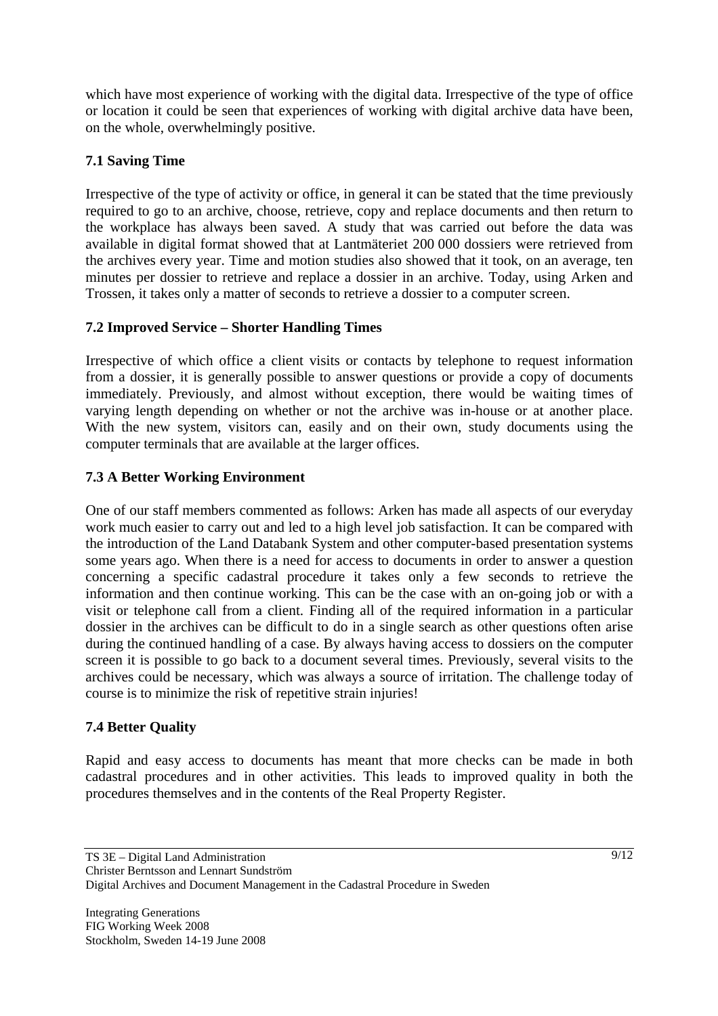which have most experience of working with the digital data. Irrespective of the type of office or location it could be seen that experiences of working with digital archive data have been, on the whole, overwhelmingly positive.

## **7.1 Saving Time**

Irrespective of the type of activity or office, in general it can be stated that the time previously required to go to an archive, choose, retrieve, copy and replace documents and then return to the workplace has always been saved. A study that was carried out before the data was available in digital format showed that at Lantmäteriet 200 000 dossiers were retrieved from the archives every year. Time and motion studies also showed that it took, on an average, ten minutes per dossier to retrieve and replace a dossier in an archive. Today, using Arken and Trossen, it takes only a matter of seconds to retrieve a dossier to a computer screen.

## **7.2 Improved Service – Shorter Handling Times**

Irrespective of which office a client visits or contacts by telephone to request information from a dossier, it is generally possible to answer questions or provide a copy of documents immediately. Previously, and almost without exception, there would be waiting times of varying length depending on whether or not the archive was in-house or at another place. With the new system, visitors can, easily and on their own, study documents using the computer terminals that are available at the larger offices.

## **7.3 A Better Working Environment**

One of our staff members commented as follows: Arken has made all aspects of our everyday work much easier to carry out and led to a high level job satisfaction. It can be compared with the introduction of the Land Databank System and other computer-based presentation systems some years ago. When there is a need for access to documents in order to answer a question concerning a specific cadastral procedure it takes only a few seconds to retrieve the information and then continue working. This can be the case with an on-going job or with a visit or telephone call from a client. Finding all of the required information in a particular dossier in the archives can be difficult to do in a single search as other questions often arise during the continued handling of a case. By always having access to dossiers on the computer screen it is possible to go back to a document several times. Previously, several visits to the archives could be necessary, which was always a source of irritation. The challenge today of course is to minimize the risk of repetitive strain injuries!

## **7.4 Better Quality**

Rapid and easy access to documents has meant that more checks can be made in both cadastral procedures and in other activities. This leads to improved quality in both the procedures themselves and in the contents of the Real Property Register.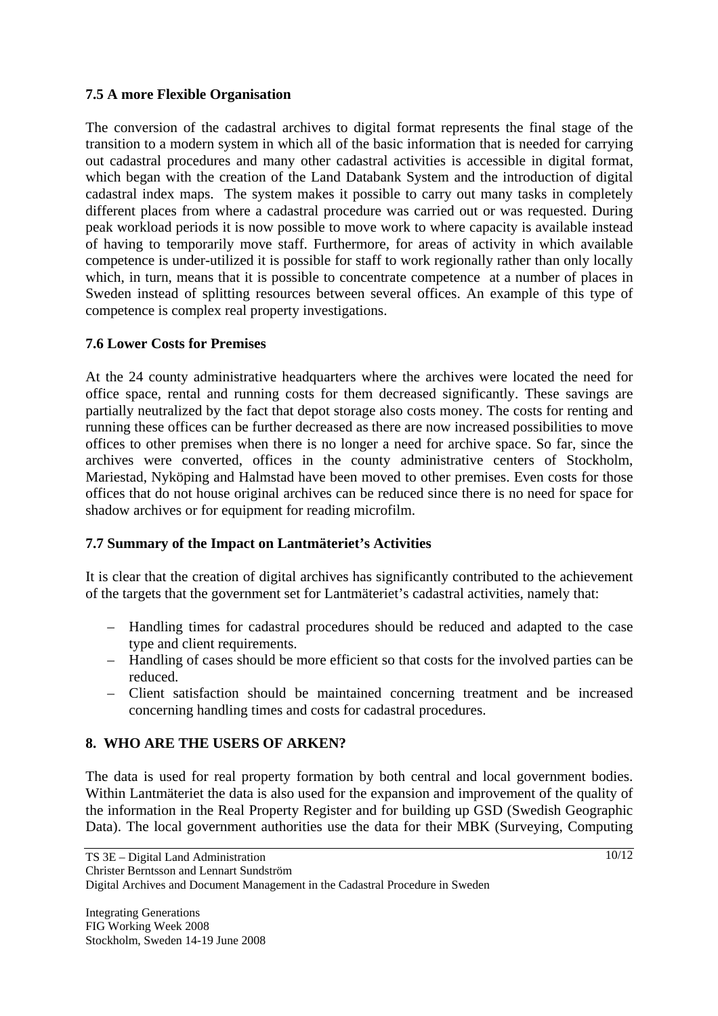## **7.5 A more Flexible Organisation**

The conversion of the cadastral archives to digital format represents the final stage of the transition to a modern system in which all of the basic information that is needed for carrying out cadastral procedures and many other cadastral activities is accessible in digital format, which began with the creation of the Land Databank System and the introduction of digital cadastral index maps. The system makes it possible to carry out many tasks in completely different places from where a cadastral procedure was carried out or was requested. During peak workload periods it is now possible to move work to where capacity is available instead of having to temporarily move staff. Furthermore, for areas of activity in which available competence is under-utilized it is possible for staff to work regionally rather than only locally which, in turn, means that it is possible to concentrate competence at a number of places in Sweden instead of splitting resources between several offices. An example of this type of competence is complex real property investigations.

## **7.6 Lower Costs for Premises**

At the 24 county administrative headquarters where the archives were located the need for office space, rental and running costs for them decreased significantly. These savings are partially neutralized by the fact that depot storage also costs money. The costs for renting and running these offices can be further decreased as there are now increased possibilities to move offices to other premises when there is no longer a need for archive space. So far, since the archives were converted, offices in the county administrative centers of Stockholm, Mariestad, Nyköping and Halmstad have been moved to other premises. Even costs for those offices that do not house original archives can be reduced since there is no need for space for shadow archives or for equipment for reading microfilm.

## **7.7 Summary of the Impact on Lantmäteriet's Activities**

It is clear that the creation of digital archives has significantly contributed to the achievement of the targets that the government set for Lantmäteriet's cadastral activities, namely that:

- Handling times for cadastral procedures should be reduced and adapted to the case type and client requirements.
- Handling of cases should be more efficient so that costs for the involved parties can be reduced.
- Client satisfaction should be maintained concerning treatment and be increased concerning handling times and costs for cadastral procedures.

## **8. WHO ARE THE USERS OF ARKEN?**

The data is used for real property formation by both central and local government bodies. Within Lantmäteriet the data is also used for the expansion and improvement of the quality of the information in the Real Property Register and for building up GSD (Swedish Geographic Data). The local government authorities use the data for their MBK (Surveying, Computing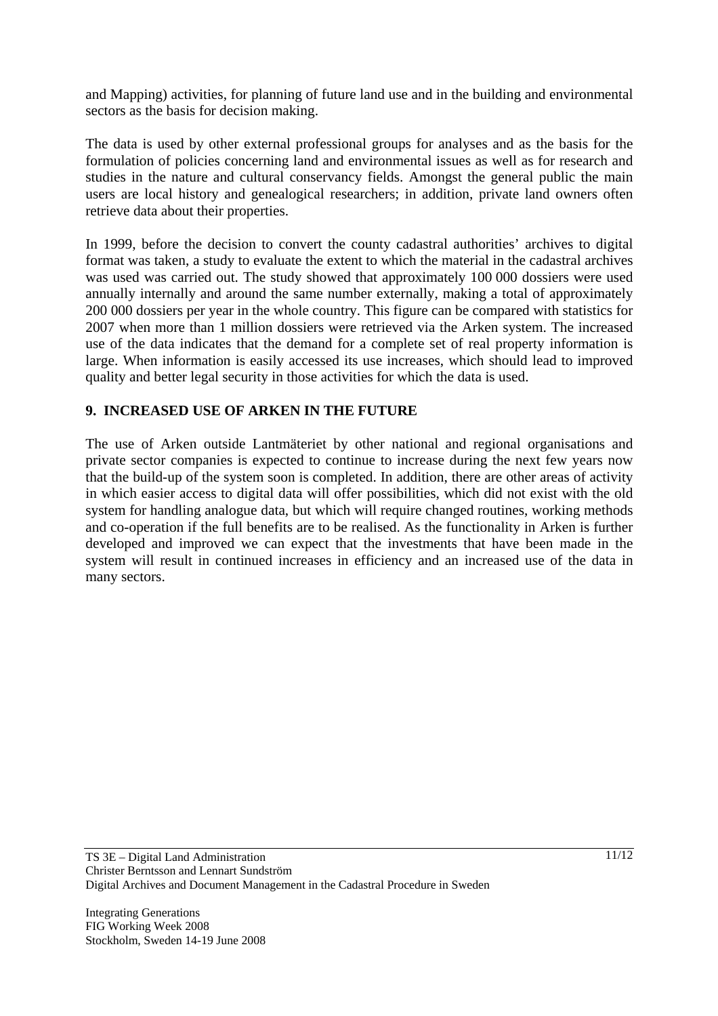and Mapping) activities, for planning of future land use and in the building and environmental sectors as the basis for decision making.

The data is used by other external professional groups for analyses and as the basis for the formulation of policies concerning land and environmental issues as well as for research and studies in the nature and cultural conservancy fields. Amongst the general public the main users are local history and genealogical researchers; in addition, private land owners often retrieve data about their properties.

In 1999, before the decision to convert the county cadastral authorities' archives to digital format was taken, a study to evaluate the extent to which the material in the cadastral archives was used was carried out. The study showed that approximately 100 000 dossiers were used annually internally and around the same number externally, making a total of approximately 200 000 dossiers per year in the whole country. This figure can be compared with statistics for 2007 when more than 1 million dossiers were retrieved via the Arken system. The increased use of the data indicates that the demand for a complete set of real property information is large. When information is easily accessed its use increases, which should lead to improved quality and better legal security in those activities for which the data is used.

## **9. INCREASED USE OF ARKEN IN THE FUTURE**

The use of Arken outside Lantmäteriet by other national and regional organisations and private sector companies is expected to continue to increase during the next few years now that the build-up of the system soon is completed. In addition, there are other areas of activity in which easier access to digital data will offer possibilities, which did not exist with the old system for handling analogue data, but which will require changed routines, working methods and co-operation if the full benefits are to be realised. As the functionality in Arken is further developed and improved we can expect that the investments that have been made in the system will result in continued increases in efficiency and an increased use of the data in many sectors.